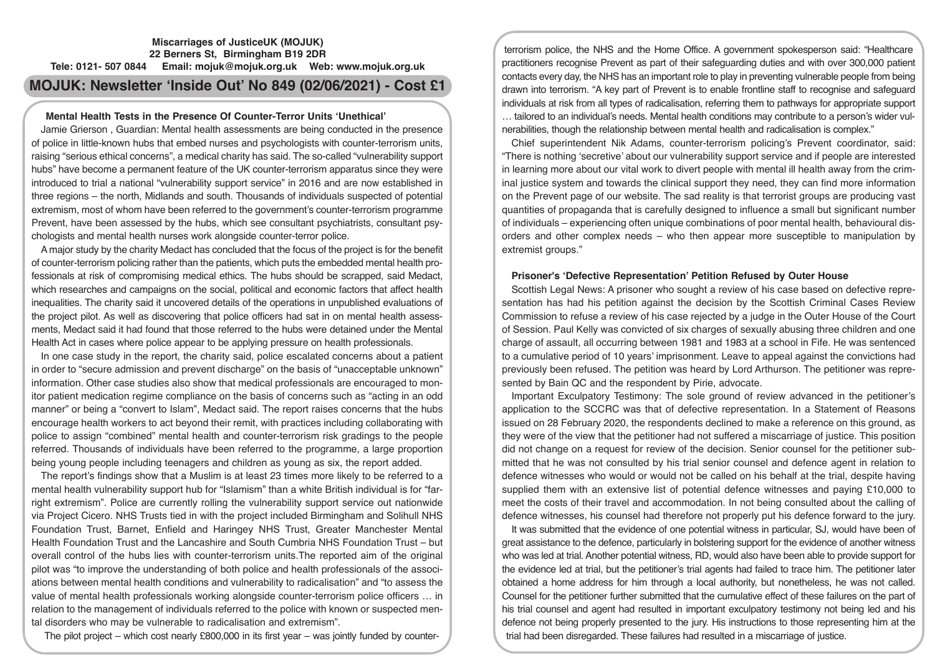# **Miscarriages of JusticeUK (MOJUK) 22 Berners St, Birmingham B19 2DR Tele: 0121- 507 0844 Email: mojuk@mojuk.org.uk Web: www.mojuk.org.uk**

# **MOJUK: Newsletter 'Inside Out' No 849 (02/06/2021) - Cost £1**

# **Mental Health Tests in the Presence Of Counter-Terror Units 'Unethical'**

Jamie Grierson , Guardian: Mental health assessments are being conducted in the presence of police in little-known hubs that embed nurses and psychologists with counter-terrorism units, raising "serious ethical concerns", a medical charity has said. The so-called "vulnerability support hubs" have become a permanent feature of the UK counter-terrorism apparatus since they were introduced to trial a national "vulnerability support service" in 2016 and are now established in three regions – the north, Midlands and south. Thousands of individuals suspected of potential extremism, most of whom have been referred to the government's counter-terrorism programme Prevent, have been assessed by the hubs, which see consultant psychiatrists, consultant psychologists and mental health nurses work alongside counter-terror police.

A major study by the charity Medact has concluded that the focus of the project is for the benefit of counter-terrorism policing rather than the patients, which puts the embedded mental health professionals at risk of compromising medical ethics. The hubs should be scrapped, said Medact, which researches and campaigns on the social, political and economic factors that affect health inequalities. The charity said it uncovered details of the operations in unpublished evaluations of the project pilot. As well as discovering that police officers had sat in on mental health assessments, Medact said it had found that those referred to the hubs were detained under the Mental Health Act in cases where police appear to be applying pressure on health professionals.

In one case study in the report, the charity said, police escalated concerns about a patient in order to "secure admission and prevent discharge" on the basis of "unacceptable unknown" information. Other case studies also show that medical professionals are encouraged to monitor patient medication regime compliance on the basis of concerns such as "acting in an odd manner" or being a "convert to Islam", Medact said. The report raises concerns that the hubs encourage health workers to act beyond their remit, with practices including collaborating with police to assign "combined" mental health and counter-terrorism risk gradings to the people referred. Thousands of individuals have been referred to the programme, a large proportion being young people including teenagers and children as young as six, the report added.

The report's findings show that a Muslim is at least 23 times more likely to be referred to a mental health vulnerability support hub for "Islamism" than a white British individual is for "farright extremism". Police are currently rolling the vulnerability support service out nationwide via Project Cicero. NHS Trusts tied in with the project included Birmingham and Solihull NHS Foundation Trust, Barnet, Enfield and Haringey NHS Trust, Greater Manchester Mental Health Foundation Trust and the Lancashire and South Cumbria NHS Foundation Trust – but overall control of the hubs lies with counter-terrorism units.The reported aim of the original pilot was "to improve the understanding of both police and health professionals of the associations between mental health conditions and vulnerability to radicalisation" and "to assess the value of mental health professionals working alongside counter-terrorism police officers … in relation to the management of individuals referred to the police with known or suspected mental disorders who may be vulnerable to radicalisation and extremism".

The pilot project – which cost nearly £800,000 in its first year – was jointly funded by counter-

terrorism police, the NHS and the Home Office. A government spokesperson said: "Healthcare practitioners recognise Prevent as part of their safeguarding duties and with over 300,000 patient contacts every day, the NHS has an important role to play in preventing vulnerable people from being drawn into terrorism. "A key part of Prevent is to enable frontline staff to recognise and safeguard individuals at risk from all types of radicalisation, referring them to pathways for appropriate support … tailored to an individual's needs. Mental health conditions may contribute to a person's wider vulnerabilities, though the relationship between mental health and radicalisation is complex."

Chief superintendent Nik Adams, counter-terrorism policing's Prevent coordinator, said: "There is nothing 'secretive' about our vulnerability support service and if people are interested in learning more about our vital work to divert people with mental ill health away from the criminal justice system and towards the clinical support they need, they can find more information on the Prevent page of our website. The sad reality is that terrorist groups are producing vast quantities of propaganda that is carefully designed to influence a small but significant number of individuals – experiencing often unique combinations of poor mental health, behavioural disorders and other complex needs – who then appear more susceptible to manipulation by extremist groups."

# **Prisoner's 'Defective Representation' Petition Refused by Outer House**

Scottish Legal News: A prisoner who sought a review of his case based on defective representation has had his petition against the decision by the Scottish Criminal Cases Review Commission to refuse a review of his case rejected by a judge in the Outer House of the Court of Session. Paul Kelly was convicted of six charges of sexually abusing three children and one charge of assault, all occurring between 1981 and 1983 at a school in Fife. He was sentenced to a cumulative period of 10 years' imprisonment. Leave to appeal against the convictions had previously been refused. The petition was heard by Lord Arthurson. The petitioner was represented by Bain QC and the respondent by Pirie, advocate.

Important Exculpatory Testimony: The sole ground of review advanced in the petitioner's application to the SCCRC was that of defective representation. In a Statement of Reasons issued on 28 February 2020, the respondents declined to make a reference on this ground, as they were of the view that the petitioner had not suffered a miscarriage of justice. This position did not change on a request for review of the decision. Senior counsel for the petitioner submitted that he was not consulted by his trial senior counsel and defence agent in relation to defence witnesses who would or would not be called on his behalf at the trial, despite having supplied them with an extensive list of potential defence witnesses and paying £10,000 to meet the costs of their travel and accommodation. In not being consulted about the calling of defence witnesses, his counsel had therefore not properly put his defence forward to the jury.

It was submitted that the evidence of one potential witness in particular, SJ, would have been of great assistance to the defence, particularly in bolstering support for the evidence of another witness who was led at trial. Another potential witness, RD, would also have been able to provide support for the evidence led at trial, but the petitioner's trial agents had failed to trace him. The petitioner later obtained a home address for him through a local authority, but nonetheless, he was not called. Counsel for the petitioner further submitted that the cumulative effect of these failures on the part of his trial counsel and agent had resulted in important exculpatory testimony not being led and his defence not being properly presented to the jury. His instructions to those representing him at the trial had been disregarded. These failures had resulted in a miscarriage of justice.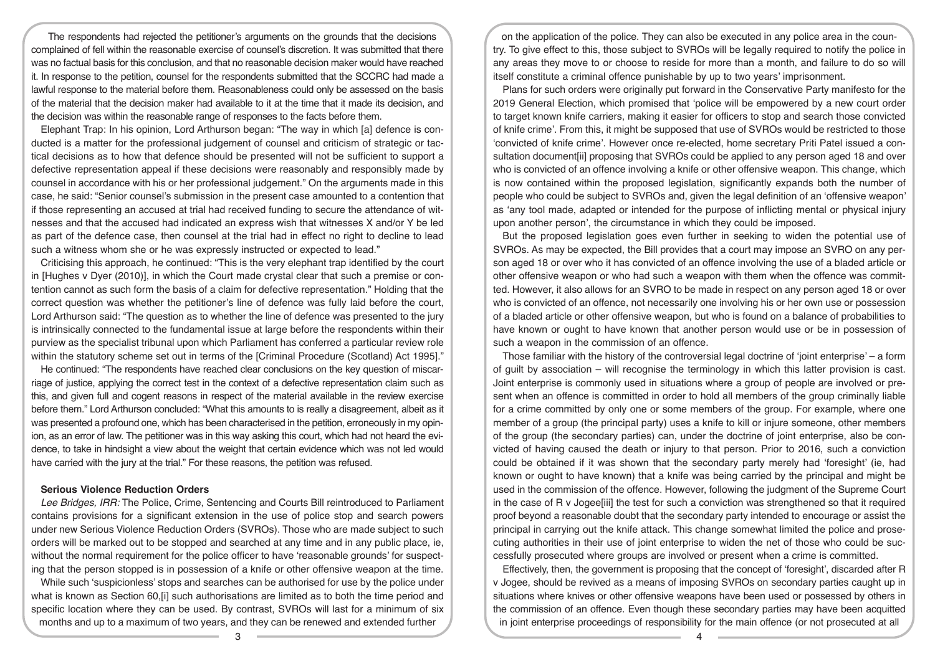The respondents had rejected the petitioner's arguments on the grounds that the decisions complained of fell within the reasonable exercise of counsel's discretion. It was submitted that there was no factual basis for this conclusion, and that no reasonable decision maker would have reached it. In response to the petition, counsel for the respondents submitted that the SCCRC had made a lawful response to the material before them. Reasonableness could only be assessed on the basis of the material that the decision maker had available to it at the time that it made its decision, and the decision was within the reasonable range of responses to the facts before them.

Elephant Trap: In his opinion, Lord Arthurson began: "The way in which [a] defence is conducted is a matter for the professional judgement of counsel and criticism of strategic or tactical decisions as to how that defence should be presented will not be sufficient to support a defective representation appeal if these decisions were reasonably and responsibly made by counsel in accordance with his or her professional judgement." On the arguments made in this case, he said: "Senior counsel's submission in the present case amounted to a contention that if those representing an accused at trial had received funding to secure the attendance of witnesses and that the accused had indicated an express wish that witnesses X and/or Y be led as part of the defence case, then counsel at the trial had in effect no right to decline to lead such a witness whom she or he was expressly instructed or expected to lead."

Criticising this approach, he continued: "This is the very elephant trap identified by the court in [Hughes v Dyer (2010)], in which the Court made crystal clear that such a premise or contention cannot as such form the basis of a claim for defective representation." Holding that the correct question was whether the petitioner's line of defence was fully laid before the court, Lord Arthurson said: "The question as to whether the line of defence was presented to the jury is intrinsically connected to the fundamental issue at large before the respondents within their purview as the specialist tribunal upon which Parliament has conferred a particular review role within the statutory scheme set out in terms of the [Criminal Procedure (Scotland) Act 1995]."

He continued: "The respondents have reached clear conclusions on the key question of miscarriage of justice, applying the correct test in the context of a defective representation claim such as this, and given full and cogent reasons in respect of the material available in the review exercise before them." Lord Arthurson concluded: "What this amounts to is really a disagreement, albeit as it was presented a profound one, which has been characterised in the petition, erroneously in my opinion, as an error of law. The petitioner was in this way asking this court, which had not heard the evidence, to take in hindsight a view about the weight that certain evidence which was not led would have carried with the jury at the trial." For these reasons, the petition was refused.

## **Serious Violence Reduction Orders**

*Lee Bridges, IRR:* The Police, Crime, Sentencing and Courts Bill reintroduced to Parliament contains provisions for a significant extension in the use of police stop and search powers under new Serious Violence Reduction Orders (SVROs). Those who are made subject to such orders will be marked out to be stopped and searched at any time and in any public place, ie, without the normal requirement for the police officer to have 'reasonable grounds' for suspecting that the person stopped is in possession of a knife or other offensive weapon at the time.

While such 'suspicionless' stops and searches can be authorised for use by the police under what is known as Section 60. [i] such authorisations are limited as to both the time period and specific location where they can be used. By contrast, SVROs will last for a minimum of six months and up to a maximum of two years, and they can be renewed and extended further

on the application of the police. They can also be executed in any police area in the country. To give effect to this, those subject to SVROs will be legally required to notify the police in any areas they move to or choose to reside for more than a month, and failure to do so will itself constitute a criminal offence punishable by up to two years' imprisonment.

Plans for such orders were originally put forward in the Conservative Party manifesto for the 2019 General Election, which promised that 'police will be empowered by a new court order to target known knife carriers, making it easier for officers to stop and search those convicted of knife crime'. From this, it might be supposed that use of SVROs would be restricted to those 'convicted of knife crime'. However once re-elected, home secretary Priti Patel issued a consultation document[ii] proposing that SVROs could be applied to any person aged 18 and over who is convicted of an offence involving a knife or other offensive weapon. This change, which is now contained within the proposed legislation, significantly expands both the number of people who could be subject to SVROs and, given the legal definition of an 'offensive weapon' as 'any tool made, adapted or intended for the purpose of inflicting mental or physical injury upon another person', the circumstance in which they could be imposed.

But the proposed legislation goes even further in seeking to widen the potential use of SVROs. As may be expected, the Bill provides that a court may impose an SVRO on any person aged 18 or over who it has convicted of an offence involving the use of a bladed article or other offensive weapon or who had such a weapon with them when the offence was committed. However, it also allows for an SVRO to be made in respect on any person aged 18 or over who is convicted of an offence, not necessarily one involving his or her own use or possession of a bladed article or other offensive weapon, but who is found on a balance of probabilities to have known or ought to have known that another person would use or be in possession of such a weapon in the commission of an offence.

Those familiar with the history of the controversial legal doctrine of 'joint enterprise' – a form of guilt by association – will recognise the terminology in which this latter provision is cast. Joint enterprise is commonly used in situations where a group of people are involved or present when an offence is committed in order to hold all members of the group criminally liable for a crime committed by only one or some members of the group. For example, where one member of a group (the principal party) uses a knife to kill or injure someone, other members of the group (the secondary parties) can, under the doctrine of joint enterprise, also be convicted of having caused the death or injury to that person. Prior to 2016, such a conviction could be obtained if it was shown that the secondary party merely had 'foresight' (ie, had known or ought to have known) that a knife was being carried by the principal and might be used in the commission of the offence. However, following the judgment of the Supreme Court in the case of R v Jogee[iii] the test for such a conviction was strengthened so that it required proof beyond a reasonable doubt that the secondary party intended to encourage or assist the principal in carrying out the knife attack. This change somewhat limited the police and prosecuting authorities in their use of joint enterprise to widen the net of those who could be successfully prosecuted where groups are involved or present when a crime is committed.

Effectively, then, the government is proposing that the concept of 'foresight', discarded after R v Jogee, should be revived as a means of imposing SVROs on secondary parties caught up in situations where knives or other offensive weapons have been used or possessed by others in the commission of an offence. Even though these secondary parties may have been acquitted in joint enterprise proceedings of responsibility for the main offence (or not prosecuted at all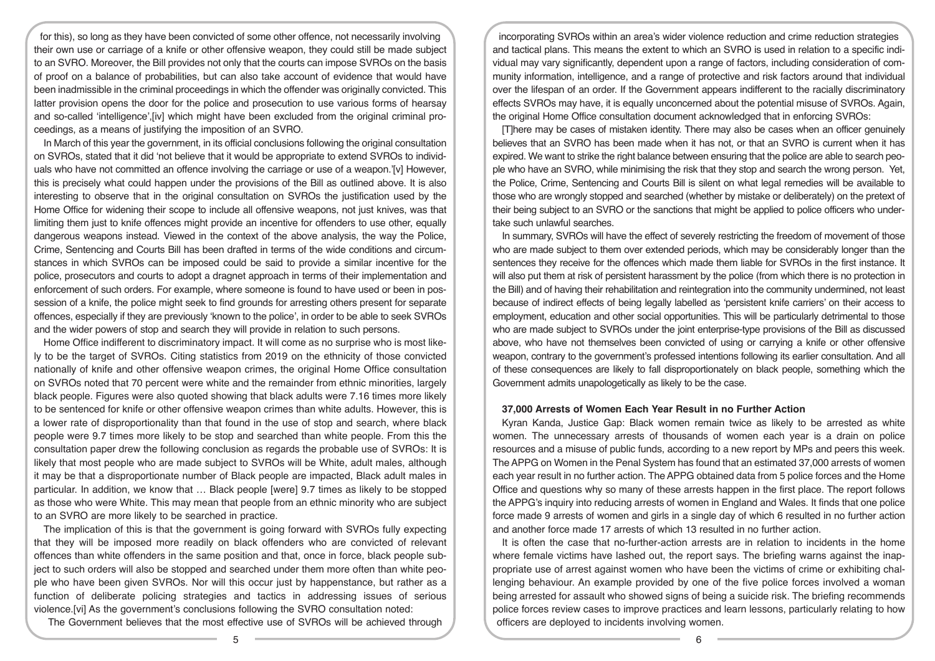for this), so long as they have been convicted of some other offence, not necessarily involving their own use or carriage of a knife or other offensive weapon, they could still be made subject to an SVRO. Moreover, the Bill provides not only that the courts can impose SVROs on the basis of proof on a balance of probabilities, but can also take account of evidence that would have been inadmissible in the criminal proceedings in which the offender was originally convicted. This latter provision opens the door for the police and prosecution to use various forms of hearsay and so-called 'intelligence',[iv] which might have been excluded from the original criminal proceedings, as a means of justifying the imposition of an SVRO.

In March of this year the government, in its official conclusions following the original consultation on SVROs, stated that it did 'not believe that it would be appropriate to extend SVROs to individuals who have not committed an offence involving the carriage or use of a weapon.'[v] However, this is precisely what could happen under the provisions of the Bill as outlined above. It is also interesting to observe that in the original consultation on SVROs the justification used by the Home Office for widening their scope to include all offensive weapons, not just knives, was that limiting them just to knife offences might provide an incentive for offenders to use other, equally dangerous weapons instead. Viewed in the context of the above analysis, the way the Police, Crime, Sentencing and Courts Bill has been drafted in terms of the wide conditions and circumstances in which SVROs can be imposed could be said to provide a similar incentive for the police, prosecutors and courts to adopt a dragnet approach in terms of their implementation and enforcement of such orders. For example, where someone is found to have used or been in possession of a knife, the police might seek to find grounds for arresting others present for separate offences, especially if they are previously 'known to the police', in order to be able to seek SVROs and the wider powers of stop and search they will provide in relation to such persons.

Home Office indifferent to discriminatory impact. It will come as no surprise who is most likely to be the target of SVROs. Citing statistics from 2019 on the ethnicity of those convicted nationally of knife and other offensive weapon crimes, the original Home Office consultation on SVROs noted that 70 percent were white and the remainder from ethnic minorities, largely black people. Figures were also quoted showing that black adults were 7.16 times more likely to be sentenced for knife or other offensive weapon crimes than white adults. However, this is a lower rate of disproportionality than that found in the use of stop and search, where black people were 9.7 times more likely to be stop and searched than white people. From this the consultation paper drew the following conclusion as regards the probable use of SVROs: It is likely that most people who are made subject to SVROs will be White, adult males, although it may be that a disproportionate number of Black people are impacted, Black adult males in particular. In addition, we know that … Black people [were] 9.7 times as likely to be stopped as those who were White. This may mean that people from an ethnic minority who are subject to an SVRO are more likely to be searched in practice.

The implication of this is that the government is going forward with SVROs fully expecting that they will be imposed more readily on black offenders who are convicted of relevant offences than white offenders in the same position and that, once in force, black people subject to such orders will also be stopped and searched under them more often than white people who have been given SVROs. Nor will this occur just by happenstance, but rather as a function of deliberate policing strategies and tactics in addressing issues of serious violence.[vi] As the government's conclusions following the SVRO consultation noted:

The Government believes that the most effective use of SVROs will be achieved through

incorporating SVROs within an area's wider violence reduction and crime reduction strategies and tactical plans. This means the extent to which an SVRO is used in relation to a specific individual may vary significantly, dependent upon a range of factors, including consideration of community information, intelligence, and a range of protective and risk factors around that individual over the lifespan of an order. If the Government appears indifferent to the racially discriminatory effects SVROs may have, it is equally unconcerned about the potential misuse of SVROs. Again, the original Home Office consultation document acknowledged that in enforcing SVROs:

[T]here may be cases of mistaken identity. There may also be cases when an officer genuinely believes that an SVRO has been made when it has not, or that an SVRO is current when it has expired. We want to strike the right balance between ensuring that the police are able to search people who have an SVRO, while minimising the risk that they stop and search the wrong person. Yet, the Police, Crime, Sentencing and Courts Bill is silent on what legal remedies will be available to those who are wrongly stopped and searched (whether by mistake or deliberately) on the pretext of their being subject to an SVRO or the sanctions that might be applied to police officers who undertake such unlawful searches.

In summary, SVROs will have the effect of severely restricting the freedom of movement of those who are made subject to them over extended periods, which may be considerably longer than the sentences they receive for the offences which made them liable for SVROs in the first instance. It will also put them at risk of persistent harassment by the police (from which there is no protection in the Bill) and of having their rehabilitation and reintegration into the community undermined, not least because of indirect effects of being legally labelled as 'persistent knife carriers' on their access to employment, education and other social opportunities. This will be particularly detrimental to those who are made subject to SVROs under the joint enterprise-type provisions of the Bill as discussed above, who have not themselves been convicted of using or carrying a knife or other offensive weapon, contrary to the government's professed intentions following its earlier consultation. And all of these consequences are likely to fall disproportionately on black people, something which the Government admits unapologetically as likely to be the case.

### **37,000 Arrests of Women Each Year Result in no Further Action**

Kyran Kanda, Justice Gap: Black women remain twice as likely to be arrested as white women. The unnecessary arrests of thousands of women each year is a drain on police resources and a misuse of public funds, according to a new report by MPs and peers this week. The APPG on Women in the Penal System has found that an estimated 37,000 arrests of women each year result in no further action. The APPG obtained data from 5 police forces and the Home Office and questions why so many of these arrests happen in the first place. The report follows the APPG's inquiry into reducing arrests of women in England and Wales. It finds that one police force made 9 arrests of women and girls in a single day of which 6 resulted in no further action and another force made 17 arrests of which 13 resulted in no further action.

It is often the case that no-further-action arrests are in relation to incidents in the home where female victims have lashed out, the report says. The briefing warns against the inappropriate use of arrest against women who have been the victims of crime or exhibiting challenging behaviour. An example provided by one of the five police forces involved a woman being arrested for assault who showed signs of being a suicide risk. The briefing recommends police forces review cases to improve practices and learn lessons, particularly relating to how officers are deployed to incidents involving women.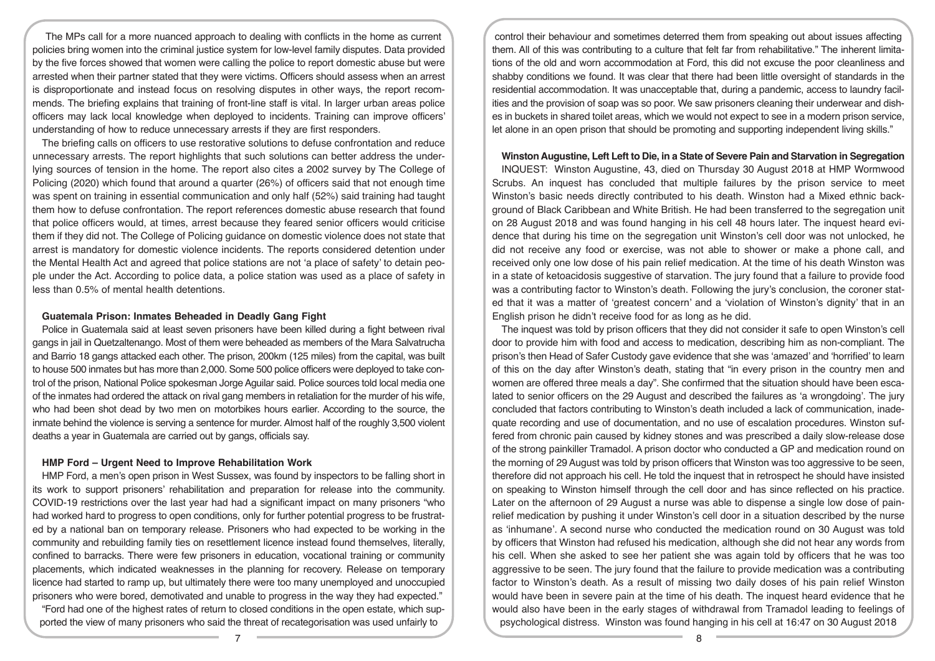The MPs call for a more nuanced approach to dealing with conflicts in the home as current policies bring women into the criminal justice system for low-level family disputes. Data provided by the five forces showed that women were calling the police to report domestic abuse but were arrested when their partner stated that they were victims. Officers should assess when an arrest is disproportionate and instead focus on resolving disputes in other ways, the report recommends. The briefing explains that training of front-line staff is vital. In larger urban areas police officers may lack local knowledge when deployed to incidents. Training can improve officers' understanding of how to reduce unnecessary arrests if they are first responders.

The briefing calls on officers to use restorative solutions to defuse confrontation and reduce unnecessary arrests. The report highlights that such solutions can better address the underlying sources of tension in the home. The report also cites a 2002 survey by The College of Policing (2020) which found that around a quarter (26%) of officers said that not enough time was spent on training in essential communication and only half (52%) said training had taught them how to defuse confrontation. The report references domestic abuse research that found that police officers would, at times, arrest because they feared senior officers would criticise them if they did not. The College of Policing guidance on domestic violence does not state that arrest is mandatory for domestic violence incidents. The reports considered detention under the Mental Health Act and agreed that police stations are not 'a place of safety' to detain people under the Act. According to police data, a police station was used as a place of safety in less than 0.5% of mental health detentions.

## **Guatemala Prison: Inmates Beheaded in Deadly Gang Fight**

Police in Guatemala said at least seven prisoners have been killed during a fight between rival gangs in jail in Quetzaltenango. Most of them were beheaded as members of the Mara Salvatrucha and Barrio 18 gangs attacked each other. The prison, 200km (125 miles) from the capital, was built to house 500 inmates but has more than 2,000. Some 500 police officers were deployed to take control of the prison, National Police spokesman Jorge Aguilar said. Police sources told local media one of the inmates had ordered the attack on rival gang members in retaliation for the murder of his wife, who had been shot dead by two men on motorbikes hours earlier. According to the source, the inmate behind the violence is serving a sentence for murder. Almost half of the roughly 3,500 violent deaths a year in Guatemala are carried out by gangs, officials say.

#### **HMP Ford – Urgent Need to Improve Rehabilitation Work**

HMP Ford, a men's open prison in West Sussex, was found by inspectors to be falling short in its work to support prisoners' rehabilitation and preparation for release into the community. COVID-19 restrictions over the last year had had a significant impact on many prisoners "who had worked hard to progress to open conditions, only for further potential progress to be frustrated by a national ban on temporary release. Prisoners who had expected to be working in the community and rebuilding family ties on resettlement licence instead found themselves, literally, confined to barracks. There were few prisoners in education, vocational training or community placements, which indicated weaknesses in the planning for recovery. Release on temporary licence had started to ramp up, but ultimately there were too many unemployed and unoccupied prisoners who were bored, demotivated and unable to progress in the way they had expected."

"Ford had one of the highest rates of return to closed conditions in the open estate, which supported the view of many prisoners who said the threat of recategorisation was used unfairly to

control their behaviour and sometimes deterred them from speaking out about issues affecting them. All of this was contributing to a culture that felt far from rehabilitative." The inherent limitations of the old and worn accommodation at Ford, this did not excuse the poor cleanliness and shabby conditions we found. It was clear that there had been little oversight of standards in the residential accommodation. It was unacceptable that, during a pandemic, access to laundry facilities and the provision of soap was so poor. We saw prisoners cleaning their underwear and dishes in buckets in shared toilet areas, which we would not expect to see in a modern prison service, let alone in an open prison that should be promoting and supporting independent living skills."

#### **Winston Augustine, Left Left to Die, in a State of Severe Pain and Starvation in Segregation**

INQUEST: Winston Augustine, 43, died on Thursday 30 August 2018 at HMP Wormwood Scrubs. An inquest has concluded that multiple failures by the prison service to meet Winston's basic needs directly contributed to his death. Winston had a Mixed ethnic background of Black Caribbean and White British. He had been transferred to the segregation unit on 28 August 2018 and was found hanging in his cell 48 hours later. The inquest heard evidence that during his time on the segregation unit Winston's cell door was not unlocked, he did not receive any food or exercise, was not able to shower or make a phone call, and received only one low dose of his pain relief medication. At the time of his death Winston was in a state of ketoacidosis suggestive of starvation. The jury found that a failure to provide food was a contributing factor to Winston's death. Following the jury's conclusion, the coroner stated that it was a matter of 'greatest concern' and a 'violation of Winston's dignity' that in an English prison he didn't receive food for as long as he did.

The inquest was told by prison officers that they did not consider it safe to open Winston's cell door to provide him with food and access to medication, describing him as non-compliant. The prison's then Head of Safer Custody gave evidence that she was 'amazed' and 'horrified' to learn of this on the day after Winston's death, stating that "in every prison in the country men and women are offered three meals a day". She confirmed that the situation should have been escalated to senior officers on the 29 August and described the failures as 'a wrongdoing'. The jury concluded that factors contributing to Winston's death included a lack of communication, inadequate recording and use of documentation, and no use of escalation procedures. Winston suffered from chronic pain caused by kidney stones and was prescribed a daily slow-release dose of the strong painkiller Tramadol. A prison doctor who conducted a GP and medication round on the morning of 29 August was told by prison officers that Winston was too aggressive to be seen, therefore did not approach his cell. He told the inquest that in retrospect he should have insisted on speaking to Winston himself through the cell door and has since reflected on his practice. Later on the afternoon of 29 August a nurse was able to dispense a single low dose of painrelief medication by pushing it under Winston's cell door in a situation described by the nurse as 'inhumane'. A second nurse who conducted the medication round on 30 August was told by officers that Winston had refused his medication, although she did not hear any words from his cell. When she asked to see her patient she was again told by officers that he was too aggressive to be seen. The jury found that the failure to provide medication was a contributing factor to Winston's death. As a result of missing two daily doses of his pain relief Winston would have been in severe pain at the time of his death. The inquest heard evidence that he would also have been in the early stages of withdrawal from Tramadol leading to feelings of psychological distress. Winston was found hanging in his cell at 16:47 on 30 August 2018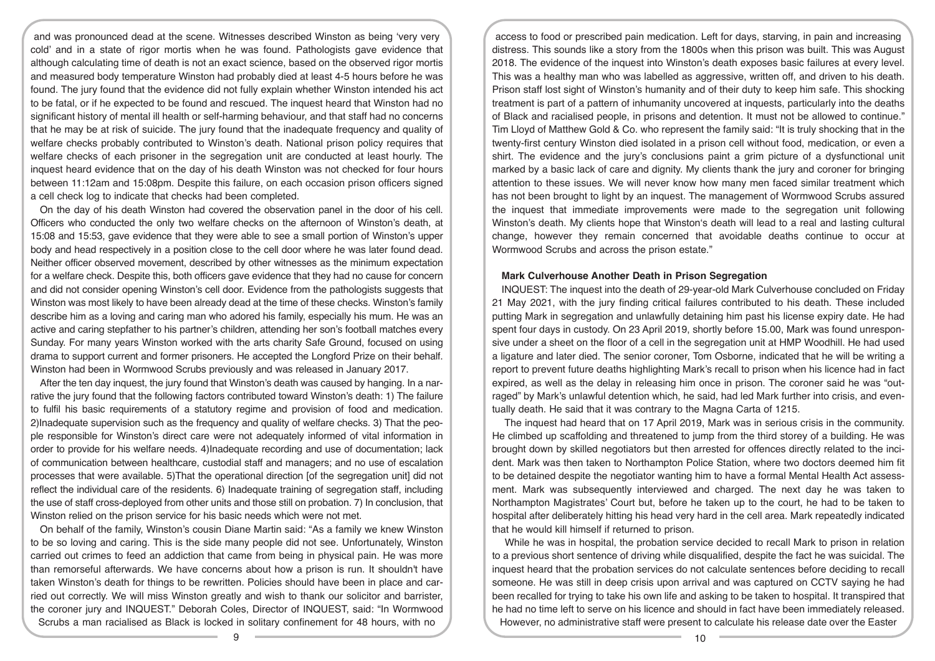and was pronounced dead at the scene. Witnesses described Winston as being 'very very cold' and in a state of rigor mortis when he was found. Pathologists gave evidence that although calculating time of death is not an exact science, based on the observed rigor mortis and measured body temperature Winston had probably died at least 4-5 hours before he was found. The jury found that the evidence did not fully explain whether Winston intended his act to be fatal, or if he expected to be found and rescued. The inquest heard that Winston had no significant history of mental ill health or self-harming behaviour, and that staff had no concerns that he may be at risk of suicide. The jury found that the inadequate frequency and quality of welfare checks probably contributed to Winston's death. National prison policy requires that welfare checks of each prisoner in the segregation unit are conducted at least hourly. The inquest heard evidence that on the day of his death Winston was not checked for four hours between 11:12am and 15:08pm. Despite this failure, on each occasion prison officers signed a cell check log to indicate that checks had been completed.

On the day of his death Winston had covered the observation panel in the door of his cell. Officers who conducted the only two welfare checks on the afternoon of Winston's death, at 15:08 and 15:53, gave evidence that they were able to see a small portion of Winston's upper body and head respectively in a position close to the cell door where he was later found dead. Neither officer observed movement, described by other witnesses as the minimum expectation for a welfare check. Despite this, both officers gave evidence that they had no cause for concern and did not consider opening Winston's cell door. Evidence from the pathologists suggests that Winston was most likely to have been already dead at the time of these checks. Winston's family describe him as a loving and caring man who adored his family, especially his mum. He was an active and caring stepfather to his partner's children, attending her son's football matches every Sunday. For many years Winston worked with the arts charity Safe Ground, focused on using drama to support current and former prisoners. He accepted the Longford Prize on their behalf. Winston had been in Wormwood Scrubs previously and was released in January 2017.

After the ten day inquest, the jury found that Winston's death was caused by hanging. In a narrative the jury found that the following factors contributed toward Winston's death: 1) The failure to fulfil his basic requirements of a statutory regime and provision of food and medication. 2)Inadequate supervision such as the frequency and quality of welfare checks. 3) That the people responsible for Winston's direct care were not adequately informed of vital information in order to provide for his welfare needs. 4)Inadequate recording and use of documentation; lack of communication between healthcare, custodial staff and managers; and no use of escalation processes that were available. 5)That the operational direction [of the segregation unit] did not reflect the individual care of the residents. 6) Inadequate training of segregation staff, including the use of staff cross-deployed from other units and those still on probation. 7) In conclusion, that Winston relied on the prison service for his basic needs which were not met.

On behalf of the family, Winston's cousin Diane Martin said: "As a family we knew Winston to be so loving and caring. This is the side many people did not see. Unfortunately, Winston carried out crimes to feed an addiction that came from being in physical pain. He was more than remorseful afterwards. We have concerns about how a prison is run. It shouldn't have taken Winston's death for things to be rewritten. Policies should have been in place and carried out correctly. We will miss Winston greatly and wish to thank our solicitor and barrister, the coroner jury and INQUEST." Deborah Coles, Director of INQUEST, said: "In Wormwood Scrubs a man racialised as Black is locked in solitary confinement for 48 hours, with no

access to food or prescribed pain medication. Left for days, starving, in pain and increasing distress. This sounds like a story from the 1800s when this prison was built. This was August 2018. The evidence of the inquest into Winston's death exposes basic failures at every level. This was a healthy man who was labelled as aggressive, written off, and driven to his death. Prison staff lost sight of Winston's humanity and of their duty to keep him safe. This shocking treatment is part of a pattern of inhumanity uncovered at inquests, particularly into the deaths of Black and racialised people, in prisons and detention. It must not be allowed to continue." Tim Lloyd of Matthew Gold & Co. who represent the family said: "It is truly shocking that in the twenty-first century Winston died isolated in a prison cell without food, medication, or even a shirt. The evidence and the jury's conclusions paint a grim picture of a dysfunctional unit marked by a basic lack of care and dignity. My clients thank the jury and coroner for bringing attention to these issues. We will never know how many men faced similar treatment which has not been brought to light by an inquest. The management of Wormwood Scrubs assured the inquest that immediate improvements were made to the segregation unit following Winston's death. My clients hope that Winston's death will lead to a real and lasting cultural change, however they remain concerned that avoidable deaths continue to occur at Wormwood Scrubs and across the prison estate."

### **Mark Culverhouse Another Death in Prison Segregation**

INQUEST: The inquest into the death of 29-year-old Mark Culverhouse concluded on Friday 21 May 2021, with the jury finding critical failures contributed to his death. These included putting Mark in segregation and unlawfully detaining him past his license expiry date. He had spent four days in custody. On 23 April 2019, shortly before 15.00, Mark was found unresponsive under a sheet on the floor of a cell in the segregation unit at HMP Woodhill. He had used a ligature and later died. The senior coroner, Tom Osborne, indicated that he will be writing a report to prevent future deaths highlighting Mark's recall to prison when his licence had in fact expired, as well as the delay in releasing him once in prison. The coroner said he was "outraged" by Mark's unlawful detention which, he said, had led Mark further into crisis, and eventually death. He said that it was contrary to the Magna Carta of 1215.

 The inquest had heard that on 17 April 2019, Mark was in serious crisis in the community. He climbed up scaffolding and threatened to jump from the third storey of a building. He was brought down by skilled negotiators but then arrested for offences directly related to the incident. Mark was then taken to Northampton Police Station, where two doctors deemed him fit to be detained despite the negotiator wanting him to have a formal Mental Health Act assessment. Mark was subsequently interviewed and charged. The next day he was taken to Northampton Magistrates' Court but, before he taken up to the court, he had to be taken to hospital after deliberately hitting his head very hard in the cell area. Mark repeatedly indicated that he would kill himself if returned to prison.

 While he was in hospital, the probation service decided to recall Mark to prison in relation to a previous short sentence of driving while disqualified, despite the fact he was suicidal. The inquest heard that the probation services do not calculate sentences before deciding to recall someone. He was still in deep crisis upon arrival and was captured on CCTV saying he had been recalled for trying to take his own life and asking to be taken to hospital. It transpired that he had no time left to serve on his licence and should in fact have been immediately released. However, no administrative staff were present to calculate his release date over the Easter